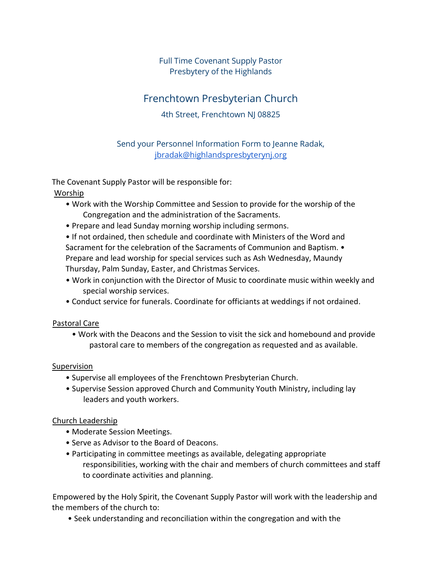## Full Time Covenant Supply Pastor Presbytery of the Highlands

# Frenchtown Presbyterian Church

### 4th Street, Frenchtown NJ 08825

Send your Personnel Information Form to Jeanne Radak, [jbradak@highlandspresbyterynj.org](mailto:jbradak@highlandspresbyterynj.org)

The Covenant Supply Pastor will be responsible for:

Worship

- Work with the Worship Committee and Session to provide for the worship of the Congregation and the administration of the Sacraments.
- Prepare and lead Sunday morning worship including sermons.

• If not ordained, then schedule and coordinate with Ministers of the Word and Sacrament for the celebration of the Sacraments of Communion and Baptism. • Prepare and lead worship for special services such as Ash Wednesday, Maundy Thursday, Palm Sunday, Easter, and Christmas Services.

- Work in conjunction with the Director of Music to coordinate music within weekly and special worship services.
- Conduct service for funerals. Coordinate for officiants at weddings if not ordained.

#### Pastoral Care

• Work with the Deacons and the Session to visit the sick and homebound and provide pastoral care to members of the congregation as requested and as available.

#### Supervision

- Supervise all employees of the Frenchtown Presbyterian Church.
- Supervise Session approved Church and Community Youth Ministry, including lay leaders and youth workers.

#### Church Leadership

- Moderate Session Meetings.
- Serve as Advisor to the Board of Deacons.
- Participating in committee meetings as available, delegating appropriate responsibilities, working with the chair and members of church committees and staff to coordinate activities and planning.

Empowered by the Holy Spirit, the Covenant Supply Pastor will work with the leadership and the members of the church to:

• Seek understanding and reconciliation within the congregation and with the